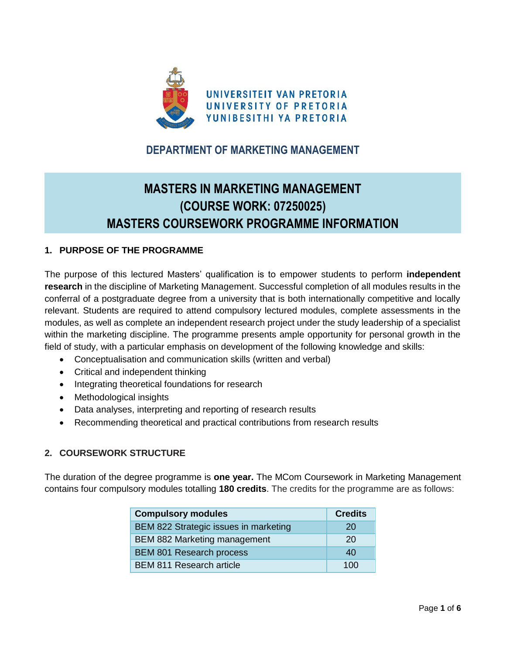

# **DEPARTMENT OF MARKETING MANAGEMENT**

# **MASTERS IN MARKETING MANAGEMENT (COURSE WORK: 07250025) MASTERS COURSEWORK PROGRAMME INFORMATION**

#### **1. PURPOSE OF THE PROGRAMME**

The purpose of this lectured Masters' qualification is to empower students to perform **independent research** in the discipline of Marketing Management. Successful completion of all modules results in the conferral of a postgraduate degree from a university that is both internationally competitive and locally relevant. Students are required to attend compulsory lectured modules, complete assessments in the modules, as well as complete an independent research project under the study leadership of a specialist within the marketing discipline. The programme presents ample opportunity for personal growth in the field of study, with a particular emphasis on development of the following knowledge and skills:

- Conceptualisation and communication skills (written and verbal)
- Critical and independent thinking
- Integrating theoretical foundations for research
- Methodological insights
- Data analyses, interpreting and reporting of research results
- Recommending theoretical and practical contributions from research results

### **2. COURSEWORK STRUCTURE**

The duration of the degree programme is **one year.** The MCom Coursework in Marketing Management contains four compulsory modules totalling **180 credits**. The credits for the programme are as follows:

| <b>Compulsory modules</b>             | <b>Credits</b> |
|---------------------------------------|----------------|
| BEM 822 Strategic issues in marketing | 20             |
| BEM 882 Marketing management          | 20             |
| <b>BEM 801 Research process</b>       | 40             |
| <b>BEM 811 Research article</b>       | 100            |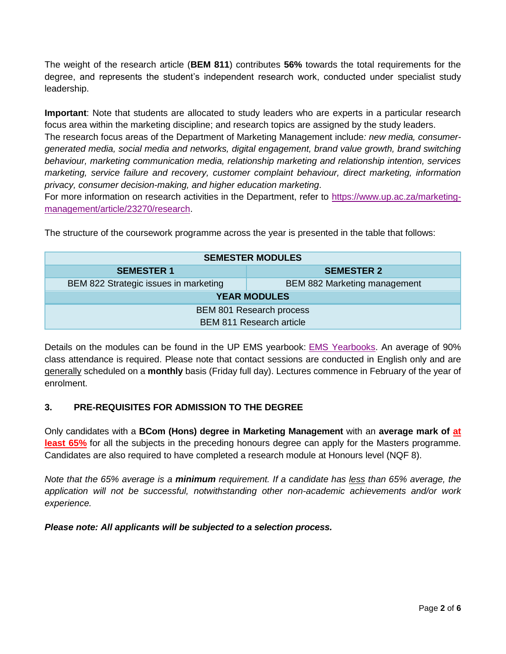The weight of the research article (**BEM 811**) contributes **56%** towards the total requirements for the degree, and represents the student's independent research work, conducted under specialist study leadership.

**Important**: Note that students are allocated to study leaders who are experts in a particular research focus area within the marketing discipline; and research topics are assigned by the study leaders.

The research focus areas of the Department of Marketing Management include*: new media, consumergenerated media, social media and networks, digital engagement, brand value growth, brand switching behaviour, marketing communication media, relationship marketing and relationship intention, services marketing, service failure and recovery, customer complaint behaviour, direct marketing, information privacy, consumer decision-making, and higher education marketing*.

For more information on research activities in the Department, refer to [https://www.up.ac.za/marketing](https://www.up.ac.za/marketing-management/article/23270/research)[management/article/23270/research.](https://www.up.ac.za/marketing-management/article/23270/research)

| <b>SEMESTER MODULES</b>               |                                     |  |  |  |
|---------------------------------------|-------------------------------------|--|--|--|
| <b>SEMESTER 1</b>                     | <b>SEMESTER 2</b>                   |  |  |  |
| BEM 822 Strategic issues in marketing | <b>BEM 882 Marketing management</b> |  |  |  |
| <b>YEAR MODULES</b>                   |                                     |  |  |  |
| <b>BEM 801 Research process</b>       |                                     |  |  |  |
| <b>BEM 811 Research article</b>       |                                     |  |  |  |

The structure of the coursework programme across the year is presented in the table that follows:

Details on the modules can be found in the UP EMS yearbook: [EMS Yearbooks.](https://www.up.ac.za/yearbooks/faculties/view/EMS/Faculty%20of%20Economic%20and%20Management%20Sciences) An average of 90% class attendance is required. Please note that contact sessions are conducted in English only and are generally scheduled on a **monthly** basis (Friday full day). Lectures commence in February of the year of enrolment.

### **3. PRE-REQUISITES FOR ADMISSION TO THE DEGREE**

Only candidates with a **BCom (Hons) degree in Marketing Management** with an **average mark of at least 65%** for all the subjects in the preceding honours degree can apply for the Masters programme. Candidates are also required to have completed a research module at Honours level (NQF 8).

*Note that the 65% average is a minimum requirement. If a candidate has less than 65% average, the application will not be successful, notwithstanding other non-academic achievements and/or work experience.*

*Please note: All applicants will be subjected to a selection process.*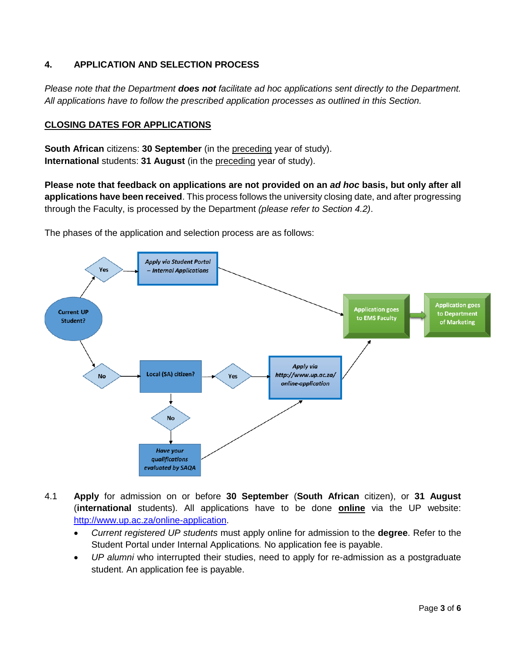### **4. APPLICATION AND SELECTION PROCESS**

*Please note that the Department does not facilitate ad hoc applications sent directly to the Department. All applications have to follow the prescribed application processes as outlined in this Section.*

#### **CLOSING DATES FOR APPLICATIONS**

**South African** citizens: **30 September** (in the preceding year of study). **International** students: **31 August** (in the preceding year of study).

**Please note that feedback on applications are not provided on an** *ad hoc* **basis, but only after all applications have been received**. This process follows the university closing date, and after progressing through the Faculty, is processed by the Department *(please refer to Section 4.2)*.

The phases of the application and selection process are as follows:



- 4.1 **Apply** for admission on or before **30 September** (**South African** citizen), or **31 August** (**international** students). All applications have to be done **online** via the UP website: [http://www.up.ac.za/online-application.](http://www.up.ac.za/online-application)
	- *Current registered UP students* must apply online for admission to the **degree**. Refer to the Student Portal under Internal Applications*.* No application fee is payable.
	- *UP alumni* who interrupted their studies, need to apply for re-admission as a postgraduate student. An application fee is payable.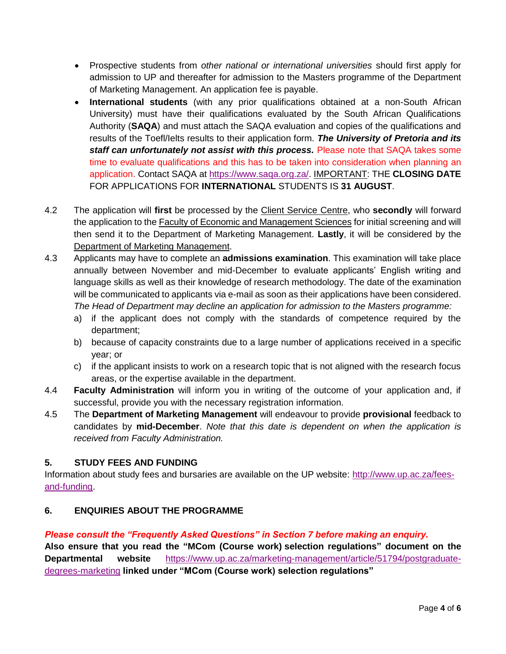- Prospective students from *other national or international universities* should first apply for admission to UP and thereafter for admission to the Masters programme of the Department of Marketing Management. An application fee is payable.
- **International students** (with any prior qualifications obtained at a non-South African University) must have their qualifications evaluated by the South African Qualifications Authority (**SAQA**) and must attach the SAQA evaluation and copies of the qualifications and results of the Toefl/Ielts results to their application form. *The University of Pretoria and its staff can unfortunately not assist with this process.* Please note that SAQA takes some time to evaluate qualifications and this has to be taken into consideration when planning an application. Contact SAQA at [https://www.saqa.org.za/.](https://www.saqa.org.za/) IMPORTANT: THE **CLOSING DATE** FOR APPLICATIONS FOR **INTERNATIONAL** STUDENTS IS **31 AUGUST**.
- 4.2 The application will **first** be processed by the Client Service Centre, who **secondly** will forward the application to the **Faculty of Economic and Management Sciences** for initial screening and will then send it to the Department of Marketing Management. **Lastly**, it will be considered by the Department of Marketing Management.
- 4.3 Applicants may have to complete an **admissions examination**. This examination will take place annually between November and mid-December to evaluate applicants' English writing and language skills as well as their knowledge of research methodology. The date of the examination will be communicated to applicants via e-mail as soon as their applications have been considered. *The Head of Department may decline an application for admission to the Masters programme:* 
	- a) if the applicant does not comply with the standards of competence required by the department;
	- b) because of capacity constraints due to a large number of applications received in a specific year; or
	- c) if the applicant insists to work on a research topic that is not aligned with the research focus areas, or the expertise available in the department.
- 4.4 **Faculty Administration** will inform you in writing of the outcome of your application and, if successful, provide you with the necessary registration information.
- 4.5 The **Department of Marketing Management** will endeavour to provide **provisional** feedback to candidates by **mid-December**. *Note that this date is dependent on when the application is received from Faculty Administration.*

### **5. STUDY FEES AND FUNDING**

Information about study fees and bursaries are available on the UP website: [http://www.up.ac.za/fees](http://www.up.ac.za/fees-and-funding)[and-funding.](http://www.up.ac.za/fees-and-funding)

### **6. ENQUIRIES ABOUT THE PROGRAMME**

### *Please consult the "Frequently Asked Questions" in Section 7 before making an enquiry.*

**Also ensure that you read the "MCom (Course work) selection regulations" document on the Departmental website** [https://www.up.ac.za/marketing-management/article/51794/postgraduate](https://www.up.ac.za/marketing-management/article/51794/postgraduate-degrees-marketing)[degrees-marketing](https://www.up.ac.za/marketing-management/article/51794/postgraduate-degrees-marketing) **linked under "MCom (Course work) selection regulations"**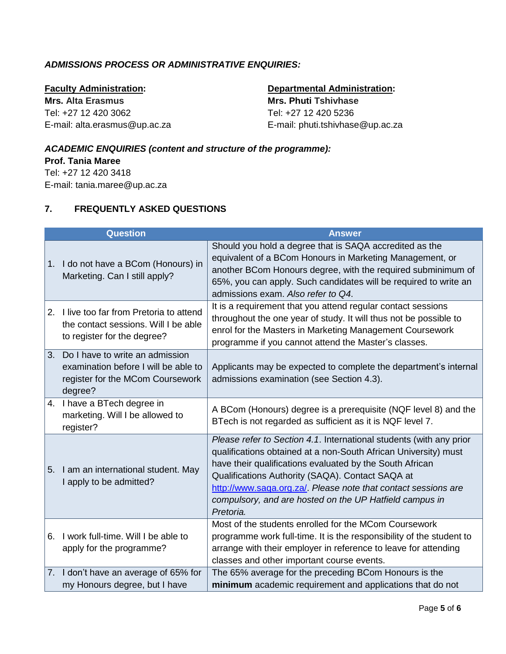## *ADMISSIONS PROCESS OR ADMINISTRATIVE ENQUIRIES:*

**Faculty Administration: Mrs. Alta Erasmus** Tel: +27 12 420 3062 E-mail: alta.erasmus@up.ac.za

# **Departmental Administration:**

**Mrs. Phuti Tshivhase** Tel: +27 12 420 5236 E-mail: phuti.tshivhase@up.ac.za

### *ACADEMIC ENQUIRIES (content and structure of the programme):*

**Prof. Tania Maree** Tel: +27 12 420 3418

E-mail: tania.maree@up.ac.za

#### **7. FREQUENTLY ASKED QUESTIONS**

|    | <b>Question</b>                                                                                                        | <b>Answer</b>                                                                                                                                                                                                                                                                                                                                                                                    |
|----|------------------------------------------------------------------------------------------------------------------------|--------------------------------------------------------------------------------------------------------------------------------------------------------------------------------------------------------------------------------------------------------------------------------------------------------------------------------------------------------------------------------------------------|
| 1. | I do not have a BCom (Honours) in<br>Marketing. Can I still apply?                                                     | Should you hold a degree that is SAQA accredited as the<br>equivalent of a BCom Honours in Marketing Management, or<br>another BCom Honours degree, with the required subminimum of<br>65%, you can apply. Such candidates will be required to write an<br>admissions exam. Also refer to Q4.                                                                                                    |
| 2. | I live too far from Pretoria to attend<br>the contact sessions. Will I be able<br>to register for the degree?          | It is a requirement that you attend regular contact sessions<br>throughout the one year of study. It will thus not be possible to<br>enrol for the Masters in Marketing Management Coursework<br>programme if you cannot attend the Master's classes.                                                                                                                                            |
| 3. | Do I have to write an admission<br>examination before I will be able to<br>register for the MCom Coursework<br>degree? | Applicants may be expected to complete the department's internal<br>admissions examination (see Section 4.3).                                                                                                                                                                                                                                                                                    |
|    | 4. I have a BTech degree in<br>marketing. Will I be allowed to<br>register?                                            | A BCom (Honours) degree is a prerequisite (NQF level 8) and the<br>BTech is not regarded as sufficient as it is NQF level 7.                                                                                                                                                                                                                                                                     |
| 5. | I am an international student. May<br>I apply to be admitted?                                                          | Please refer to Section 4.1. International students (with any prior<br>qualifications obtained at a non-South African University) must<br>have their qualifications evaluated by the South African<br>Qualifications Authority (SAQA). Contact SAQA at<br>http://www.saqa.org.za/. Please note that contact sessions are<br>compulsory, and are hosted on the UP Hatfield campus in<br>Pretoria. |
|    | 6. I work full-time. Will I be able to<br>apply for the programme?                                                     | Most of the students enrolled for the MCom Coursework<br>programme work full-time. It is the responsibility of the student to<br>arrange with their employer in reference to leave for attending<br>classes and other important course events.                                                                                                                                                   |
|    | 7. I don't have an average of 65% for<br>my Honours degree, but I have                                                 | The 65% average for the preceding BCom Honours is the<br>minimum academic requirement and applications that do not                                                                                                                                                                                                                                                                               |